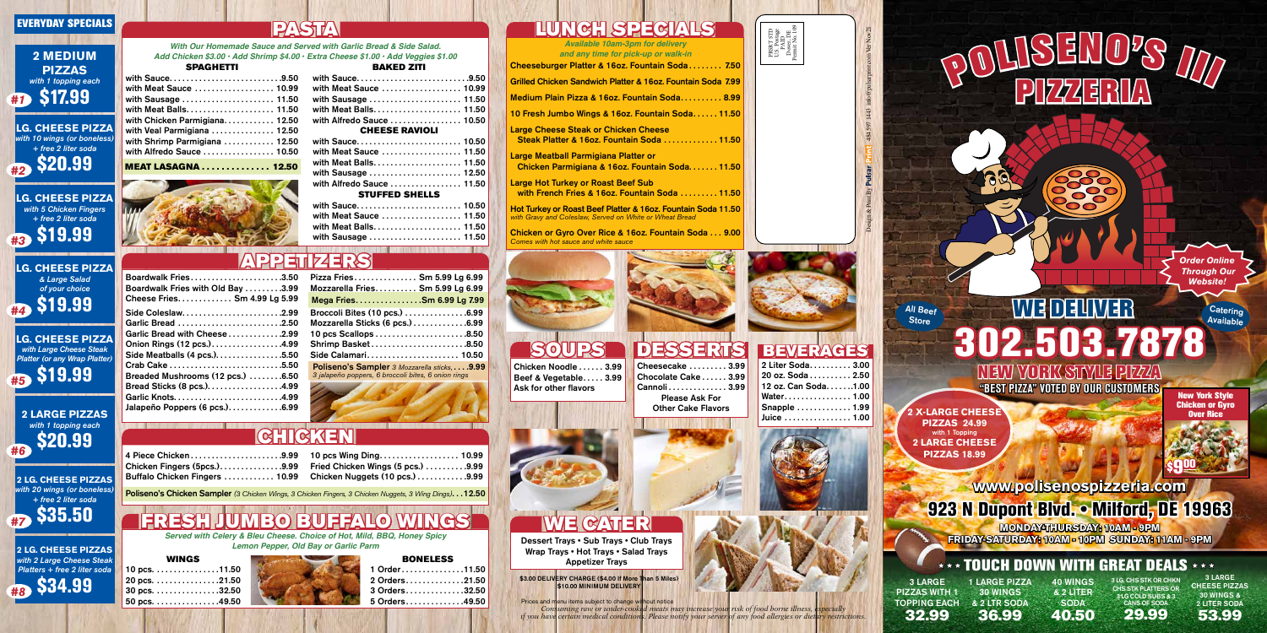## WE CATER Dessert Trays • Sub Trays • Club Trays

Wrap Trays • Hot Trays • Salad Trays Appetizer Trays

\$3.00 DELIVERY CHARGE (\$4.00 If More Than 5 Miles \$10.00 MINIMUM DELIVERY

with Sauce . . . . . . . . . . . . . . . . . . . . . . . . . . 9.50 with Meat Sauce ................... 10.99 with Sausage . . . . . . . . . . . . . . . . . . . . . . 11.50 with Meat Balls . . . . . . . . . . . . . . . . . . . . . 11.50 with Chicken Parmigiana............ 12.50 with Veal Parmigiana . . . . . . . . . . . . . . 12.50 with Shrimp Parmigiana . . . . . . . . . . . 12.50 with Alfredo Sauce . . . . . . . . . . . . . . . 10.50

*With Our Homemade Sauce and Served with Garlic Bread & Side Salad. Add Chicken \$3.00 • Add Shrimp \$4.00 • Extra Cheese \$1.00 • Add Veggies \$1.00* SPAGHETTI

*Available 10am-3pm for delivery and any time for pick-up or walk-in*

*Served with Celery & Bleu Cheese. Choice of Hot, Mild, BBQ, Honey Spicy Lemon Pepper, Old Bay or Garlic Parm*

Large Meatball Parmigiana Platter or Chicken Parmigiana & 16oz. Fountain Soda. . . . . . 11.50

Large Hot Turkey or Roast Beef Sub with French Fries & 16oz. Fountain Soda . . . . . . . . 11.50

Boardwalk Fries . . . . . . . . . . . . . . . . . . . . . 3.50 Boardwalk Fries with Old Bay . . . . . . . . 3.99 Cheese Fries . . . . . . . . . . . . . Sm 4.99 Lg 5.99 Cheeseburger Platter & 16oz. Fountain Soda . . . . . . . . 7.50

Grilled Chicken Sandwich Platter & 16oz. Fountain Soda 7.99

Medium Plain Pizza & 16oz. Fountain Soda.......... 8.99

10 Fresh Jumbo Wings & 16oz. Fountain Soda . . . . . 11.50

Side Coleslaw . . . . . . . . . . . . . . . . . . . . . . . 2.99 Garlic Bread . . . . . . . . . . . . . . . . . . . . . . . . 2.50 Garlic Bread with Cheese . . . . . . . . . . . . 2.99 Onion Rings (12 pcs.) . . . . . . . . . . . . . . . . 4.99 Side Meatballs (4 pcs.). . . . . . . . . . . . . . . . 5.50 Crab Cake . . . . . . . . . . . . . . . . . . . . . . . . . . 5.50 Breaded Mushrooms (12 pcs.) . . . . . . . 6.50 Bread Sticks (8 pcs.). . . . . . . . . . . . . . . . . 4.99 Garlic Knots . . . . . . . . . . . . . . . . . . . . . . . . . 4.99 Jalapeño Poppers (6 pcs.). . . . . . . . . . . . 6.99 Large Cheese Steak or Chicken Cheese Steak Platter & 16oz. Fountain Soda . . . . . . . . . . . . 11.50

Hot Turkey or Roast Beef Platter & 16oz. Fountain Soda 11.50 *with Gravy and Coleslaw, Served on White or Wheat Bread*

Chicken or Gyro Over Rice & 16oz. Fountain Soda . . . 9.00 *Comes with hot sauce and white sauce*





| Chicken Fingers (5pcs.). 9.99  |  |
|--------------------------------|--|
| Buffalo Chicken Fingers  10.99 |  |

| 10 pcs Wing Ding 10.99            |  |
|-----------------------------------|--|
| Fried Chicken Wings (5 pcs.) 9.99 |  |
| Chicken Nuggets (10 pcs.) 9.99    |  |

## WINGS

| WINGS         |  |
|---------------|--|
| 10 pcs. 11.50 |  |
| 20 pcs. 21.50 |  |
| 30 pcs. 32.50 |  |
| 50 pcs. 49.50 |  |



## **BONELESS**

| Pizza Fries Sm 5.99 Lg 6.99                                                                           |
|-------------------------------------------------------------------------------------------------------|
| Mozzarella Fries. Sm 5.99 Lg 6.99                                                                     |
| Mega FriesSm 6.99 Lg 7.99                                                                             |
| Broccoli Bites (10 pcs.) 6.99                                                                         |
| Mozzarella Sticks (6 pcs.) 6.99                                                                       |
|                                                                                                       |
| Shrimp Basket8.50                                                                                     |
| Side Calamari 10.50                                                                                   |
| Poliseno's Sampler 3 Mozzarella sticks,  .9.99<br>3 jalapeño poppers, 6 broccoli bites, 6 onion rings |



## $G$ H $G$

|  | 1 Order11.50<br>2 Orders. 21.50<br>3 Orders32.50<br>5 Orders. 49.50 |
|--|---------------------------------------------------------------------|

Poliseno's Chicken Sampler *(3 Chicken Wings, 3 Chicken Fingers, 3 Chicken Nuggets, 3 Wing Dings)* . . 12.50

# JUMBO BUFFALO

## All Beef **Store**

Design & Print By Pulsar Print 484 597 1443 info@pulsarprint.com Ver Nov21

*Order Online Through Our Website!*

> **Catering Available**

## BAKED ZITI

| with Sauce9.50            |  |
|---------------------------|--|
| with Meat Sauce  10.99    |  |
| with Sausage  11.50       |  |
|                           |  |
| with Alfredo Sauce  10.50 |  |
| <b>CHEESE RAVIOLI</b>     |  |
| with Sauce 10.50          |  |

# WE DELIVER 302.503.7878 NEW YORK STYLE PIZZA

| with Meat Sauce  11.50    |  |
|---------------------------|--|
|                           |  |
| with Sausage  12.50       |  |
| with Alfredo Sauce  11.50 |  |
| <b>STUFFED SHELLS</b>     |  |
| with Sauce 10.50          |  |
| with Meat Sauce  11.50    |  |
|                           |  |

with Sausage . . . . . . . . . . . . . . . . . . . . . . 11.50

MEAT LASAGNA . . . . . . . . . . . . . . 12.50

Chicken Noodle . . . . . . 3.99 Beef & Vegetable..... 3.99 Ask for other flavors

Cheesecake . . . . . . . . . 3.99 Chocolate Cake . . . . . . 3.99 Cannoli . . . . . . . . . . . . . . 3.99 Please Ask For Other Cake Flavors



SOUPS DESSERTS BEVERAGES 2 Liter Soda. . . . . . . . . 3.00 20 oz. Soda . . . . . . . . . . 2.50 12 oz. Can Soda.......1.00 Water................ 1.00 Snapple . . . . . . . . . . . . . 1.99 Juice . . . . . . . . . . . . . . . . 1.00

## EVERYDAY SPECIALS

## **2 MEDIUM PIZZAS** *with 1 topping each #1* \$17.99

**LG. CHEESE PIZZA** *with 10 wings (or boneless) + free 2 liter soda*





**LG. CHEESE PIZZA** *with Large Cheese Steak Platter (or any Wrap Platter)*



**2 LG. CHEESE PIZZAS** *with 20 wings (or boneless) + free 2 liter soda #7* \$35.50

**2 LG. CHEESE PIZZAS** *with 2 Large Cheese Steak Platters + free 2 liter soda*



# PASTA

**LG. CHEESE PIZZA** *& Large Salad of your choice #4* \$19.99



**2 X-LARGE CHEESE PIZZAS 24.99** with 1 Topping **2 LARGE CHEESE PIZZAS 18.99**

PRSRT STD U.S. Postage PAID Dover, DE Permit No. 109

*Consuming raw or under-cooked meats may increase your risk of food borne illness, especially if you have certain medical conditions. Please notify your server of any food allergies or dietary restrictions.*  Prices and menu items subject to change without notice

| Chicken Nuggets (10 pcs.).             |  |
|----------------------------------------|--|
| hicken Fingers, 3 Chicken Nuggets, 3 V |  |
|                                        |  |

# POLISENO<sup>2</sup>S III



## $\star\star\star$  TOUCH DOWN WITH GREAT DEALS  $\star\star\star$

New York Style Chicken or Gyro Over Rice



## APPETIZERS

# LUNCH SPECIALS

3 LARGE PIZZAS WITH 1 TOPPING EACH 32.99

1 LARGE PIZZA 30 WINGS & 2 LTR SODA 36.99

40 WINGS & 2 LITER **SODA** 40.50 3 LG. CHS STK OR CHKN CHS STK PLATTERS OR 3 LG COLD SUBS & 3 CANS OF SODA 29.99



**"BEST PIZZA" VOTED BY OUR CUSTOMERS**